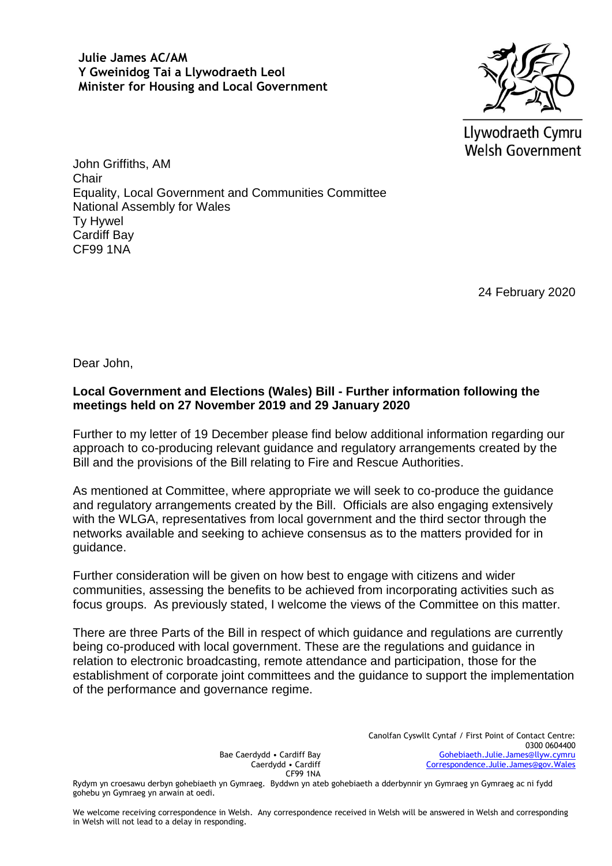**Julie James AC/AM Y Gweinidog Tai a Llywodraeth Leol Minister for Housing and Local Government**



Llywodraeth Cymru **Welsh Government** 

John Griffiths, AM **Chair** Equality, Local Government and Communities Committee National Assembly for Wales Ty Hywel Cardiff Bay CF99 1NA

24 February 2020

Dear John,

## **Local Government and Elections (Wales) Bill - Further information following the meetings held on 27 November 2019 and 29 January 2020**

Further to my letter of 19 December please find below additional information regarding our approach to co-producing relevant guidance and regulatory arrangements created by the Bill and the provisions of the Bill relating to Fire and Rescue Authorities.

As mentioned at Committee, where appropriate we will seek to co-produce the guidance and regulatory arrangements created by the Bill. Officials are also engaging extensively with the WLGA, representatives from local government and the third sector through the networks available and seeking to achieve consensus as to the matters provided for in guidance.

Further consideration will be given on how best to engage with citizens and wider communities, assessing the benefits to be achieved from incorporating activities such as focus groups. As previously stated, I welcome the views of the Committee on this matter.

There are three Parts of the Bill in respect of which guidance and regulations are currently being co-produced with local government. These are the regulations and guidance in relation to electronic broadcasting, remote attendance and participation, those for the establishment of corporate joint committees and the guidance to support the implementation of the performance and governance regime.

Bae Caerdydd • Cardiff Bay Caerdydd • Cardiff CF99 1NA

Rydym yn croesawu derbyn gohebiaeth yn Gymraeg. Byddwn yn ateb gohebiaeth a dderbynnir yn Gymraeg yn Gymraeg ac ni fydd gohebu yn Gymraeg yn arwain at oedi.

We welcome receiving correspondence in Welsh. Any correspondence received in Welsh will be answered in Welsh and corresponding in Welsh will not lead to a delay in responding.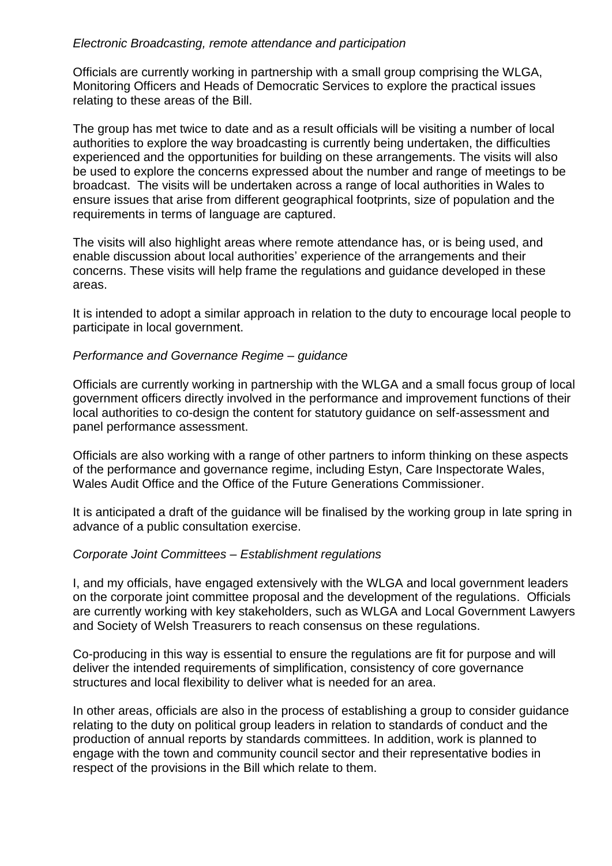## *Electronic Broadcasting, remote attendance and participation*

Officials are currently working in partnership with a small group comprising the WLGA, Monitoring Officers and Heads of Democratic Services to explore the practical issues relating to these areas of the Bill.

The group has met twice to date and as a result officials will be visiting a number of local authorities to explore the way broadcasting is currently being undertaken, the difficulties experienced and the opportunities for building on these arrangements. The visits will also be used to explore the concerns expressed about the number and range of meetings to be broadcast. The visits will be undertaken across a range of local authorities in Wales to ensure issues that arise from different geographical footprints, size of population and the requirements in terms of language are captured.

The visits will also highlight areas where remote attendance has, or is being used, and enable discussion about local authorities' experience of the arrangements and their concerns. These visits will help frame the regulations and guidance developed in these areas.

It is intended to adopt a similar approach in relation to the duty to encourage local people to participate in local government.

## *Performance and Governance Regime – guidance*

Officials are currently working in partnership with the WLGA and a small focus group of local government officers directly involved in the performance and improvement functions of their local authorities to co-design the content for statutory guidance on self-assessment and panel performance assessment.

Officials are also working with a range of other partners to inform thinking on these aspects of the performance and governance regime, including Estyn, Care Inspectorate Wales, Wales Audit Office and the Office of the Future Generations Commissioner.

It is anticipated a draft of the guidance will be finalised by the working group in late spring in advance of a public consultation exercise.

## *Corporate Joint Committees – Establishment regulations*

I, and my officials, have engaged extensively with the WLGA and local government leaders on the corporate joint committee proposal and the development of the regulations. Officials are currently working with key stakeholders, such as WLGA and Local Government Lawyers and Society of Welsh Treasurers to reach consensus on these regulations.

Co-producing in this way is essential to ensure the regulations are fit for purpose and will deliver the intended requirements of simplification, consistency of core governance structures and local flexibility to deliver what is needed for an area.

In other areas, officials are also in the process of establishing a group to consider guidance relating to the duty on political group leaders in relation to standards of conduct and the production of annual reports by standards committees. In addition, work is planned to engage with the town and community council sector and their representative bodies in respect of the provisions in the Bill which relate to them.